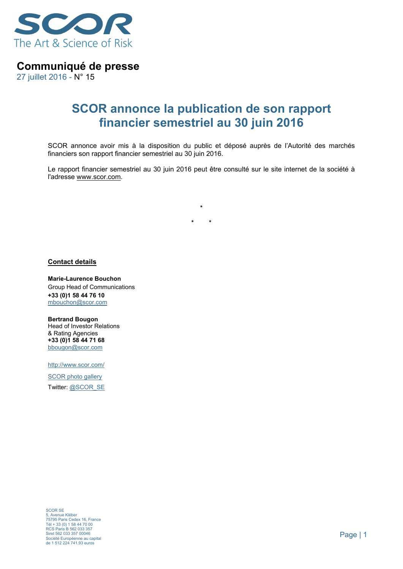

**Communiqué de presse** 

27 juillet 2016 - N° 15

## **SCOR annonce la publication de son rapport financier semestriel au 30 juin 2016**

SCOR annonce avoir mis à la disposition du public et déposé auprès de l'Autorité des marchés financiers son rapport financier semestriel au 30 juin 2016.

Le rapport financier semestriel au 30 juin 2016 peut être consulté sur le site internet de la société à l'adresse www.scor.com.

**\* \*** 

**\*** 

**Contact details** 

**Marie-Laurence Bouchon** Group Head of Communications **+33 (0)1 58 44 76 10** mbouchon@scor.com

**Bertrand Bougon**  Head of Investor Relations & Rating Agencies **+33 (0)1 58 44 71 68**  bbougon@scor.com

http://www.scor.com/

SCOR photo gallery Twitter: @SCOR\_SE